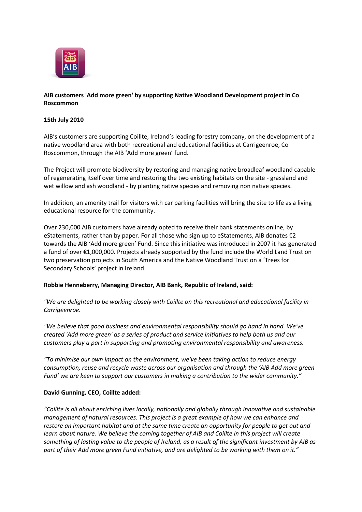

# **AIB customers 'Add more green' by supporting Native Woodland Development project in Co Roscommon**

### **15th July 2010**

AIB's customers are supporting Coillte, Ireland's leading forestry company, on the development of a native woodland area with both recreational and educational facilities at Carrigeenroe, Co Roscommon, through the AIB 'Add more green' fund.

The Project will promote biodiversity by restoring and managing native broadleaf woodland capable of regenerating itself over time and restoring the two existing habitats on the site - grassland and wet willow and ash woodland - by planting native species and removing non native species.

In addition, an amenity trail for visitors with car parking facilities will bring the site to life as a living educational resource for the community.

Over 230,000 AIB customers have already opted to receive their bank statements online, by eStatements, rather than by paper. For all those who sign up to eStatements, AIB donates €2 towards the AIB 'Add more green' Fund. Since this initiative was introduced in 2007 it has generated a fund of over €1,000,000. Projects already supported by the fund include the World Land Trust on two preservation projects in South America and the Native Woodland Trust on a 'Trees for Secondary Schools' project in Ireland.

### **Robbie Henneberry, Managing Director, AIB Bank, Republic of Ireland, said:**

*"We are delighted to be working closely with Coillte on this recreational and educational facility in Carrigeenroe.*

*"We believe that good business and environmental responsibility should go hand in hand. We've created 'Add more green' as a series of product and service initiatives to help both us and our customers play a part in supporting and promoting environmental responsibility and awareness.*

*"To minimise our own impact on the environment, we've been taking action to reduce energy consumption, reuse and recycle waste across our organisation and through the 'AIB Add more green Fund' we are keen to support our customers in making a contribution to the wider community."*

### **David Gunning, CEO, Coillte added:**

*"Coillte is all about enriching lives locally, nationally and globally through innovative and sustainable management of natural resources. This project is a great example of how we can enhance and restore an important habitat and at the same time create an opportunity for people to get out and learn about nature. We believe the coming together of AIB and Coillte in this project will create something of lasting value to the people of Ireland, as a result of the significant investment by AIB as part of their Add more green Fund initiative, and are delighted to be working with them on it."*